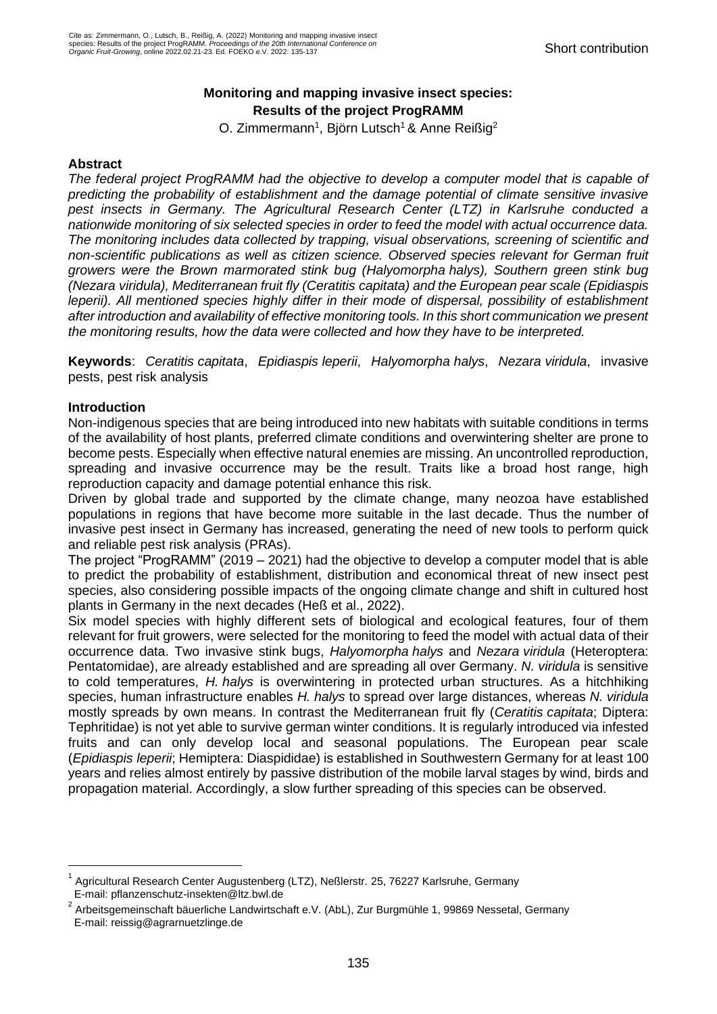# **Monitoring and mapping invasive insect species: Results of the project ProgRAMM**

O. Zimmermann<sup>1</sup>, Björn Lutsch<sup>1</sup> & Anne Reißig<sup>2</sup>

# **Abstract**

*The federal project ProgRAMM had the objective to develop a computer model that is capable of predicting the probability of establishment and the damage potential of climate sensitive invasive pest insects in Germany. The Agricultural Research Center (LTZ) in Karlsruhe conducted a nationwide monitoring of six selected species in order to feed the model with actual occurrence data. The monitoring includes data collected by trapping, visual observations, screening of scientific and non-scientific publications as well as citizen science. Observed species relevant for German fruit growers were the Brown marmorated stink bug (Halyomorpha halys), Southern green stink bug (Nezara viridula), Mediterranean fruit fly (Ceratitis capitata) and the European pear scale (Epidiaspis leperii). All mentioned species highly differ in their mode of dispersal, possibility of establishment after introduction and availability of effective monitoring tools. In this short communication we present the monitoring results, how the data were collected and how they have to be interpreted.* 

**Keywords**: *Ceratitis capitata*, *Epidiaspis leperii*, *Halyomorpha halys*, *Nezara viridula*, invasive pests, pest risk analysis

# **Introduction**

Non-indigenous species that are being introduced into new habitats with suitable conditions in terms of the availability of host plants, preferred climate conditions and overwintering shelter are prone to become pests. Especially when effective natural enemies are missing. An uncontrolled reproduction, spreading and invasive occurrence may be the result. Traits like a broad host range, high reproduction capacity and damage potential enhance this risk.

Driven by global trade and supported by the climate change, many neozoa have established populations in regions that have become more suitable in the last decade. Thus the number of invasive pest insect in Germany has increased, generating the need of new tools to perform quick and reliable pest risk analysis (PRAs).

The project "ProgRAMM" (2019 – 2021) had the objective to develop a computer model that is able to predict the probability of establishment, distribution and economical threat of new insect pest species, also considering possible impacts of the ongoing climate change and shift in cultured host plants in Germany in the next decades (Heß et al., 2022).

Six model species with highly different sets of biological and ecological features, four of them relevant for fruit growers, were selected for the monitoring to feed the model with actual data of their occurrence data. Two invasive stink bugs, *Halyomorpha halys* and *Nezara viridula* (Heteroptera: Pentatomidae), are already established and are spreading all over Germany. *N. viridula* is sensitive to cold temperatures, *H. halys* is overwintering in protected urban structures. As a hitchhiking species, human infrastructure enables *H. halys* to spread over large distances, whereas *N. viridula* mostly spreads by own means. In contrast the Mediterranean fruit fly (*Ceratitis capitata*; Diptera: Tephritidae) is not yet able to survive german winter conditions. It is regularly introduced via infested fruits and can only develop local and seasonal populations. The European pear scale (*Epidiaspis leperii*; Hemiptera: Diaspididae) is established in Southwestern Germany for at least 100 years and relies almost entirely by passive distribution of the mobile larval stages by wind, birds and propagation material. Accordingly, a slow further spreading of this species can be observed.

<sup>1</sup> Agricultural Research Center Augustenberg (LTZ), Neßlerstr. 25, 76227 Karlsruhe, Germany E-mail: pflanzenschutz-insekten@ltz.bwl.de

<sup>2</sup> Arbeitsgemeinschaft bäuerliche Landwirtschaft e.V. (AbL), Zur Burgmühle 1, 99869 Nessetal, Germany E-mail: reissig@agrarnuetzlinge.de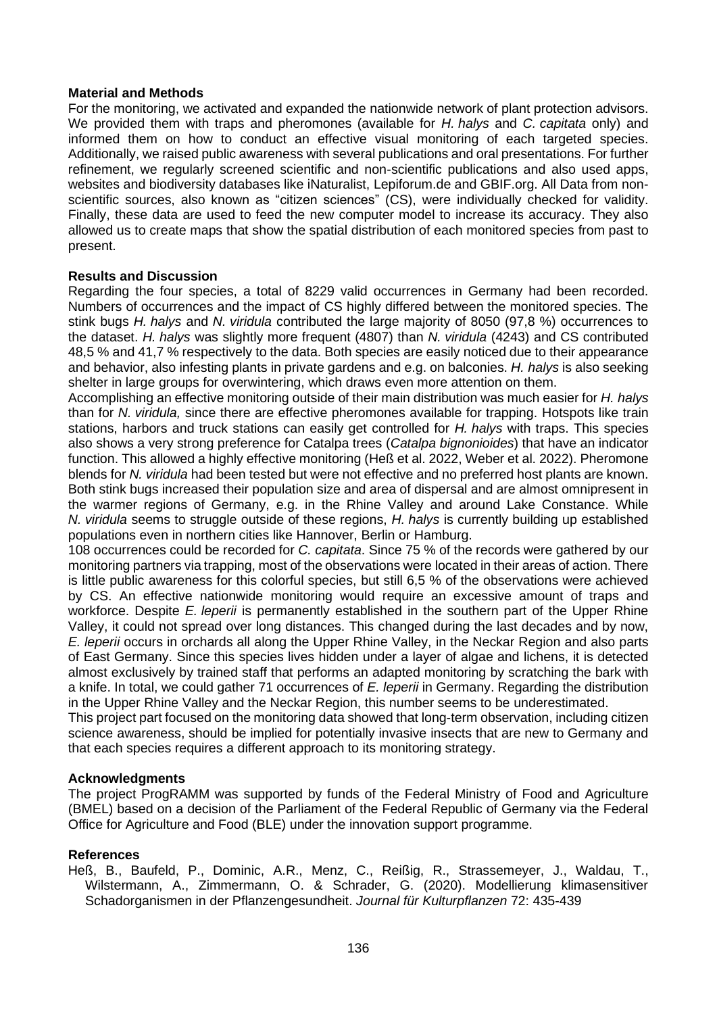# **Material and Methods**

For the monitoring, we activated and expanded the nationwide network of plant protection advisors. We provided them with traps and pheromones (available for *H. halys* and *C. capitata* only) and informed them on how to conduct an effective visual monitoring of each targeted species. Additionally, we raised public awareness with several publications and oral presentations. For further refinement, we regularly screened scientific and non-scientific publications and also used apps, websites and biodiversity databases like iNaturalist, Lepiforum.de and GBIF.org. All Data from nonscientific sources, also known as "citizen sciences" (CS), were individually checked for validity. Finally, these data are used to feed the new computer model to increase its accuracy. They also allowed us to create maps that show the spatial distribution of each monitored species from past to present.

# **Results and Discussion**

Regarding the four species, a total of 8229 valid occurrences in Germany had been recorded. Numbers of occurrences and the impact of CS highly differed between the monitored species. The stink bugs *H. halys* and *N. viridula* contributed the large majority of 8050 (97,8 %) occurrences to the dataset. *H. halys* was slightly more frequent (4807) than *N. viridula* (4243) and CS contributed 48,5 % and 41,7 % respectively to the data. Both species are easily noticed due to their appearance and behavior, also infesting plants in private gardens and e.g. on balconies. *H. halys* is also seeking shelter in large groups for overwintering, which draws even more attention on them.

Accomplishing an effective monitoring outside of their main distribution was much easier for *H. halys* than for *N. viridula,* since there are effective pheromones available for trapping. Hotspots like train stations, harbors and truck stations can easily get controlled for *H. halys* with traps. This species also shows a very strong preference for Catalpa trees (*Catalpa bignonioides*) that have an indicator function. This allowed a highly effective monitoring (Heß et al. 2022, Weber et al. 2022). Pheromone blends for *N. viridula* had been tested but were not effective and no preferred host plants are known. Both stink bugs increased their population size and area of dispersal and are almost omnipresent in the warmer regions of Germany, e.g. in the Rhine Valley and around Lake Constance. While *N. viridula* seems to struggle outside of these regions, *H. halys* is currently building up established populations even in northern cities like Hannover, Berlin or Hamburg.

108 occurrences could be recorded for *C. capitata*. Since 75 % of the records were gathered by our monitoring partners via trapping, most of the observations were located in their areas of action. There is little public awareness for this colorful species, but still 6,5 % of the observations were achieved by CS. An effective nationwide monitoring would require an excessive amount of traps and workforce. Despite *E. leperii* is permanently established in the southern part of the Upper Rhine Valley, it could not spread over long distances. This changed during the last decades and by now, *E. leperii* occurs in orchards all along the Upper Rhine Valley, in the Neckar Region and also parts of East Germany. Since this species lives hidden under a layer of algae and lichens, it is detected almost exclusively by trained staff that performs an adapted monitoring by scratching the bark with a knife. In total, we could gather 71 occurrences of *E. leperii* in Germany. Regarding the distribution in the Upper Rhine Valley and the Neckar Region, this number seems to be underestimated.

This project part focused on the monitoring data showed that long-term observation, including citizen science awareness, should be implied for potentially invasive insects that are new to Germany and that each species requires a different approach to its monitoring strategy.

### **Acknowledgments**

The project ProgRAMM was supported by funds of the Federal Ministry of Food and Agriculture (BMEL) based on a decision of the Parliament of the Federal Republic of Germany via the Federal Office for Agriculture and Food (BLE) under the innovation support programme.

### **References**

Heß, B., Baufeld, P., Dominic, A.R., Menz, C., Reißig, R., Strassemeyer, J., Waldau, T., Wilstermann, A., Zimmermann, O. & Schrader, G. (2020). Modellierung klimasensitiver Schadorganismen in der Pflanzengesundheit. *Journal für Kulturpflanzen* 72: 435-439